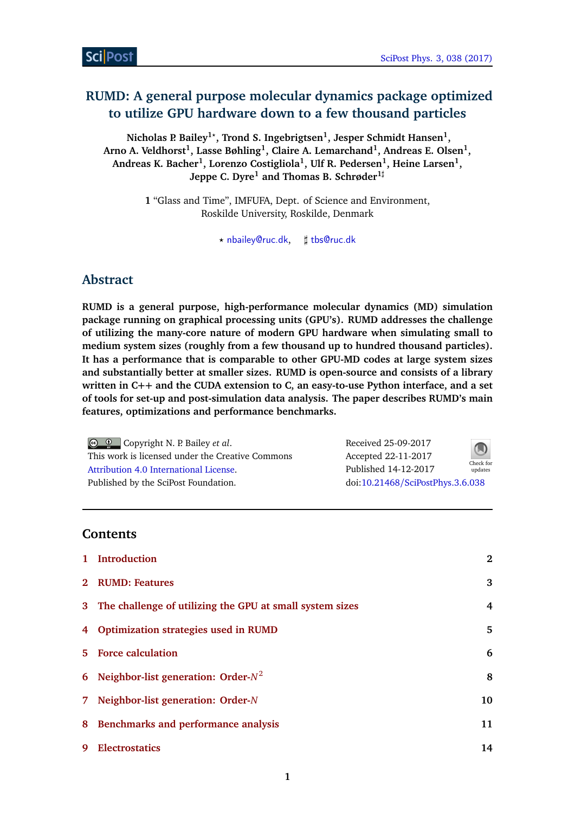# **RUMD: A general purpose molecular dynamics package optimized to utilize GPU hardware down to a few thousand particles**

**Nicholas P. Bailey1***?* **, Trond S. Ingebrigtsen<sup>1</sup> , Jesper Schmidt Hansen<sup>1</sup> , Arno A. Veldhorst<sup>1</sup> , Lasse Bøhling<sup>1</sup> , Claire A. Lemarchand<sup>1</sup> , Andreas E. Olsen<sup>1</sup> , Andreas K. Bacher<sup>1</sup> , Lorenzo Costigliola<sup>1</sup> , Ulf R. Pedersen<sup>1</sup> , Heine Larsen<sup>1</sup> , Jeppe C. Dyre<sup>1</sup> and Thomas B. Schrøder1***]*

> **1** "Glass and Time", IMFUFA, Dept. of Science and Environment, Roskilde University, Roskilde, Denmark

> > *?* [nbailey@ruc.dk](mailto:nbailey@ruc.dk), *]* [tbs@ruc.dk](mailto:tbs@ruc.dk)

# **Abstract**

**RUMD is a general purpose, high-performance molecular dynamics (MD) simulation package running on graphical processing units (GPU's). RUMD addresses the challenge of utilizing the many-core nature of modern GPU hardware when simulating small to medium system sizes (roughly from a few thousand up to hundred thousand particles). It has a performance that is comparable to other GPU-MD codes at large system sizes and substantially better at smaller sizes. RUMD is open-source and consists of a library written in C++ and the CUDA extension to C, an easy-to-use Python interface, and a set of tools for set-up and post-simulation data analysis. The paper describes RUMD's main features, optimizations and performance benchmarks.**

| $\bigcirc$ $\bigcirc$ Copyright N. P. Bailey <i>et al.</i> |
|------------------------------------------------------------|
| This work is licensed under the Creative Commons           |
| Attribution 4.0 International License.                     |
| Published by the SciPost Foundation.                       |

| Received 25-09-2017              |                      |
|----------------------------------|----------------------|
| Accepted 22-11-2017              |                      |
| Published 14-12-2017             | Check for<br>updates |
| doi:10.21468/SciPostPhys.3.6.038 |                      |

# **Contents**

| $\mathbf{1}$ | <b>Introduction</b>                                        | $\mathbf{2}$ |
|--------------|------------------------------------------------------------|--------------|
|              | 2 RUMD: Features                                           | 3            |
|              | 3 The challenge of utilizing the GPU at small system sizes | 4            |
| 4            | <b>Optimization strategies used in RUMD</b>                | 5            |
|              | 5 Force calculation                                        | 6            |
| 6            | Neighbor-list generation: Order- $N^2$                     | 8            |
| 7.           | Neighbor-list generation: Order-N                          | 10           |
| 8            | <b>Benchmarks and performance analysis</b>                 | 11           |
| 9            | <b>Electrostatics</b>                                      | 14           |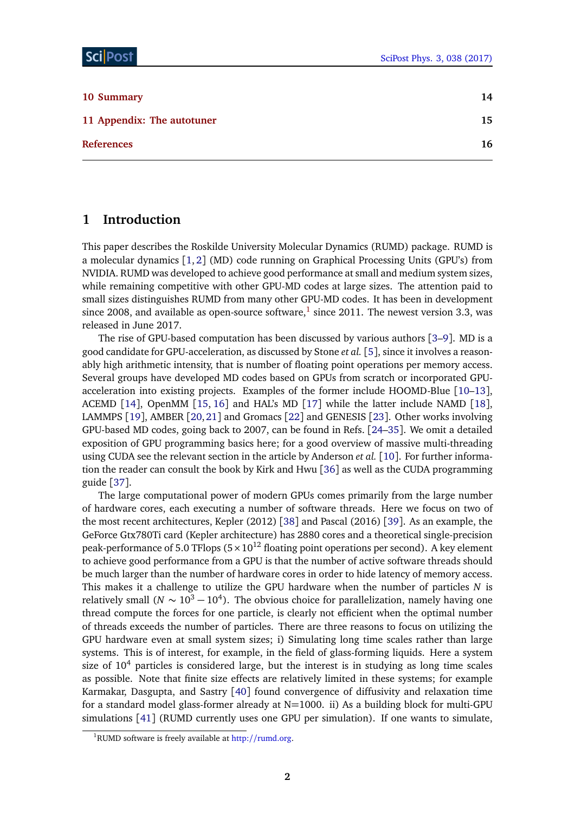| 10 Summary                 | 14 |
|----------------------------|----|
| 11 Appendix: The autotuner | 15 |
| <b>References</b>          | 16 |

### <span id="page-1-0"></span>**1 Introduction**

This paper describes the Roskilde University Molecular Dynamics (RUMD) package. RUMD is a molecular dynamics [[1,](#page-15-1) [2](#page-15-2)] (MD) code running on Graphical Processing Units (GPU's) from NVIDIA. RUMD was developed to achieve good performance at small and medium system sizes, while remaining competitive with other GPU-MD codes at large sizes. The attention paid to small sizes distinguishes RUMD from many other GPU-MD codes. It has been in development since 2008, and available as open-source software, $^1$  $^1$  since 2011. The newest version 3.3, was released in June 2017.

The rise of GPU-based computation has been discussed by various authors [[3](#page-15-3)[–9](#page-16-0)]. MD is a good candidate for GPU-acceleration, as discussed by Stone *et al.* [[5](#page-16-1)], since it involves a reasonably high arithmetic intensity, that is number of floating point operations per memory access. Several groups have developed MD codes based on GPUs from scratch or incorporated GPUacceleration into existing projects. Examples of the former include HOOMD-Blue [[10](#page-16-2)[–13](#page-16-3)], ACEMD [[14](#page-16-4)], OpenMM [[15,](#page-16-5) [16](#page-16-6)] and HAL's MD [[17](#page-16-7)] while the latter include NAMD [[18](#page-16-8)], LAMMPS [[19](#page-16-9)], AMBER [[20,](#page-17-0)[21](#page-17-1)] and Gromacs [[22](#page-17-2)] and GENESIS [[23](#page-17-3)]. Other works involving GPU-based MD codes, going back to 2007, can be found in Refs. [[24–](#page-17-4)[35](#page-18-0)]. We omit a detailed exposition of GPU programming basics here; for a good overview of massive multi-threading using CUDA see the relevant section in the article by Anderson *et al.* [[10](#page-16-2)]. For further information the reader can consult the book by Kirk and Hwu [[36](#page-18-1)] as well as the CUDA programming guide [[37](#page-18-2)].

The large computational power of modern GPUs comes primarily from the large number of hardware cores, each executing a number of software threads. Here we focus on two of the most recent architectures, Kepler (2012) [[38](#page-18-3)] and Pascal (2016) [[39](#page-18-4)]. As an example, the GeForce Gtx780Ti card (Kepler architecture) has 2880 cores and a theoretical single-precision peak-performance of 5.0 TFlops  $(5 \times 10^{12}$  floating point operations per second). A key element to achieve good performance from a GPU is that the number of active software threads should be much larger than the number of hardware cores in order to hide latency of memory access. This makes it a challenge to utilize the GPU hardware when the number of particles *N* is relatively small ( $N \sim 10^3 - 10^4$ ). The obvious choice for parallelization, namely having one thread compute the forces for one particle, is clearly not efficient when the optimal number of threads exceeds the number of particles. There are three reasons to focus on utilizing the GPU hardware even at small system sizes; i) Simulating long time scales rather than large systems. This is of interest, for example, in the field of glass-forming liquids. Here a system size of  $10<sup>4</sup>$  particles is considered large, but the interest is in studying as long time scales as possible. Note that finite size effects are relatively limited in these systems; for example Karmakar, Dasgupta, and Sastry [[40](#page-18-5)] found convergence of diffusivity and relaxation time for a standard model glass-former already at N=1000. ii) As a building block for multi-GPU simulations [[41](#page-18-6)] (RUMD currently uses one GPU per simulation). If one wants to simulate,

<span id="page-1-1"></span><sup>&</sup>lt;sup>1</sup>RUMD software is freely available at http://[rumd.org.](http://rumd.org)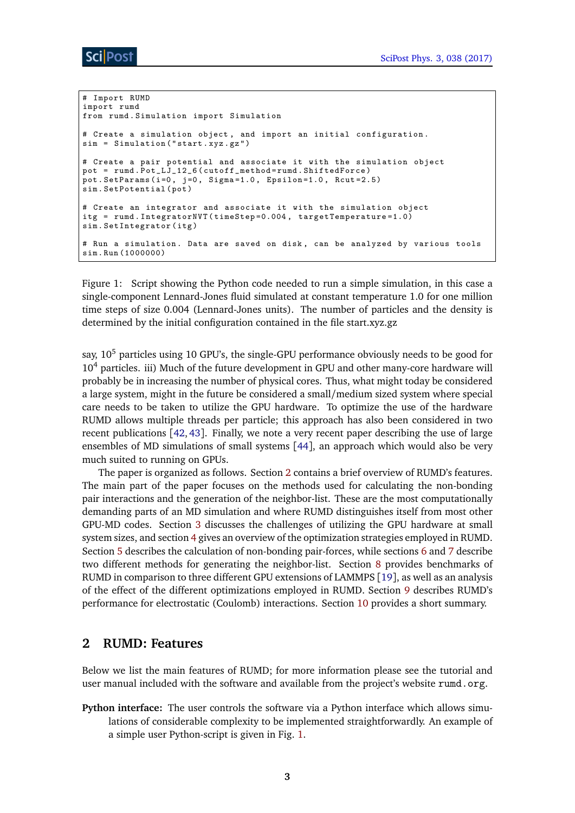```
# Import RUMD
import rumd
from rumd . Simulation import Simulation
# Create a simulation object , and import an initial configuration .
sim = Simulation (" start . xyz . gz ")
# Create a pair potential and associate it with the simulation object
\texttt{pot = rund.Pot\_LJ\_12\_6}~(\texttt{cutoff\_method = rund.ShiftedForce})pot. SetParams (i=0, j=0, Sigma=1.0, Epsilon=1.0, Rcut=2.5)sim . SetPotential ( pot )
# Create an integrator and associate it with the simulation object
itg = rumd . IntegratorNVT ( timeStep =0.004 , targetTemperature =1.0)
sim . SetIntegrator ( itg )
# Run a simulation . Data are saved on disk , can be analyzed by various tools
sim . Run (1000000)
```
<span id="page-2-1"></span>Figure 1: Script showing the Python code needed to run a simple simulation, in this case a single-component Lennard-Jones fluid simulated at constant temperature 1.0 for one million time steps of size 0.004 (Lennard-Jones units). The number of particles and the density is determined by the initial configuration contained in the file start.xyz.gz

sav.  $10^5$  particles using 10 GPU's, the single-GPU performance obviously needs to be good for  $10<sup>4</sup>$  particles. iii) Much of the future development in GPU and other many-core hardware will probably be in increasing the number of physical cores. Thus, what might today be considered a large system, might in the future be considered a small/medium sized system where special care needs to be taken to utilize the GPU hardware. To optimize the use of the hardware RUMD allows multiple threads per particle; this approach has also been considered in two recent publications [[42,](#page-18-7) [43](#page-18-8)]. Finally, we note a very recent paper describing the use of large ensembles of MD simulations of small systems [[44](#page-18-9)], an approach which would also be very much suited to running on GPUs.

The paper is organized as follows. Section [2](#page-2-0) contains a brief overview of RUMD's features. The main part of the paper focuses on the methods used for calculating the non-bonding pair interactions and the generation of the neighbor-list. These are the most computationally demanding parts of an MD simulation and where RUMD distinguishes itself from most other GPU-MD codes. Section [3](#page-3-0) discusses the challenges of utilizing the GPU hardware at small system sizes, and section [4](#page-4-0) gives an overview of the optimization strategies employed in RUMD. Section [5](#page-5-0) describes the calculation of non-bonding pair-forces, while sections [6](#page-7-0) and [7](#page-9-0) describe two different methods for generating the neighbor-list. Section [8](#page-10-0) provides benchmarks of RUMD in comparison to three different GPU extensions of LAMMPS [[19](#page-16-9)], as well as an analysis of the effect of the different optimizations employed in RUMD. Section [9](#page-13-0) describes RUMD's performance for electrostatic (Coulomb) interactions. Section [10](#page-13-1) provides a short summary.

### <span id="page-2-0"></span>**2 RUMD: Features**

Below we list the main features of RUMD; for more information please see the tutorial and user manual included with the software and available from the project's website rumd.org.

**Python interface:** The user controls the software via a Python interface which allows simulations of considerable complexity to be implemented straightforwardly. An example of a simple user Python-script is given in Fig. [1.](#page-2-1)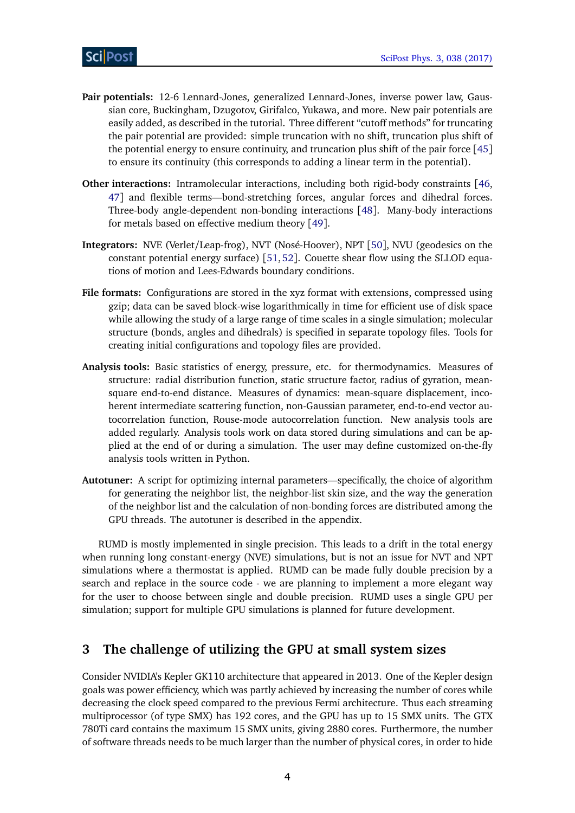- **Pair potentials:** 12-6 Lennard-Jones, generalized Lennard-Jones, inverse power law, Gaussian core, Buckingham, Dzugotov, Girifalco, Yukawa, and more. New pair potentials are easily added, as described in the tutorial. Three different "cutoff methods" for truncating the pair potential are provided: simple truncation with no shift, truncation plus shift of the potential energy to ensure continuity, and truncation plus shift of the pair force [[45](#page-18-10)] to ensure its continuity (this corresponds to adding a linear term in the potential).
- **Other interactions:** Intramolecular interactions, including both rigid-body constraints [[46,](#page-18-11) [47](#page-18-12)] and flexible terms—bond-stretching forces, angular forces and dihedral forces. Three-body angle-dependent non-bonding interactions [[48](#page-18-13)]. Many-body interactions for metals based on effective medium theory [[49](#page-18-14)].
- **Integrators:** NVE (Verlet/Leap-frog), NVT (Nosé-Hoover), NPT [[50](#page-18-15)], NVU (geodesics on the constant potential energy surface) [[51,](#page-18-16) [52](#page-19-0)]. Couette shear flow using the SLLOD equations of motion and Lees-Edwards boundary conditions.
- **File formats:** Configurations are stored in the xyz format with extensions, compressed using gzip; data can be saved block-wise logarithmically in time for efficient use of disk space while allowing the study of a large range of time scales in a single simulation; molecular structure (bonds, angles and dihedrals) is specified in separate topology files. Tools for creating initial configurations and topology files are provided.
- **Analysis tools:** Basic statistics of energy, pressure, etc. for thermodynamics. Measures of structure: radial distribution function, static structure factor, radius of gyration, meansquare end-to-end distance. Measures of dynamics: mean-square displacement, incoherent intermediate scattering function, non-Gaussian parameter, end-to-end vector autocorrelation function, Rouse-mode autocorrelation function. New analysis tools are added regularly. Analysis tools work on data stored during simulations and can be applied at the end of or during a simulation. The user may define customized on-the-fly analysis tools written in Python.
- **Autotuner:** A script for optimizing internal parameters—specifically, the choice of algorithm for generating the neighbor list, the neighbor-list skin size, and the way the generation of the neighbor list and the calculation of non-bonding forces are distributed among the GPU threads. The autotuner is described in the appendix.

RUMD is mostly implemented in single precision. This leads to a drift in the total energy when running long constant-energy (NVE) simulations, but is not an issue for NVT and NPT simulations where a thermostat is applied. RUMD can be made fully double precision by a search and replace in the source code - we are planning to implement a more elegant way for the user to choose between single and double precision. RUMD uses a single GPU per simulation; support for multiple GPU simulations is planned for future development.

# <span id="page-3-0"></span>**3 The challenge of utilizing the GPU at small system sizes**

Consider NVIDIA's Kepler GK110 architecture that appeared in 2013. One of the Kepler design goals was power efficiency, which was partly achieved by increasing the number of cores while decreasing the clock speed compared to the previous Fermi architecture. Thus each streaming multiprocessor (of type SMX) has 192 cores, and the GPU has up to 15 SMX units. The GTX 780Ti card contains the maximum 15 SMX units, giving 2880 cores. Furthermore, the number of software threads needs to be much larger than the number of physical cores, in order to hide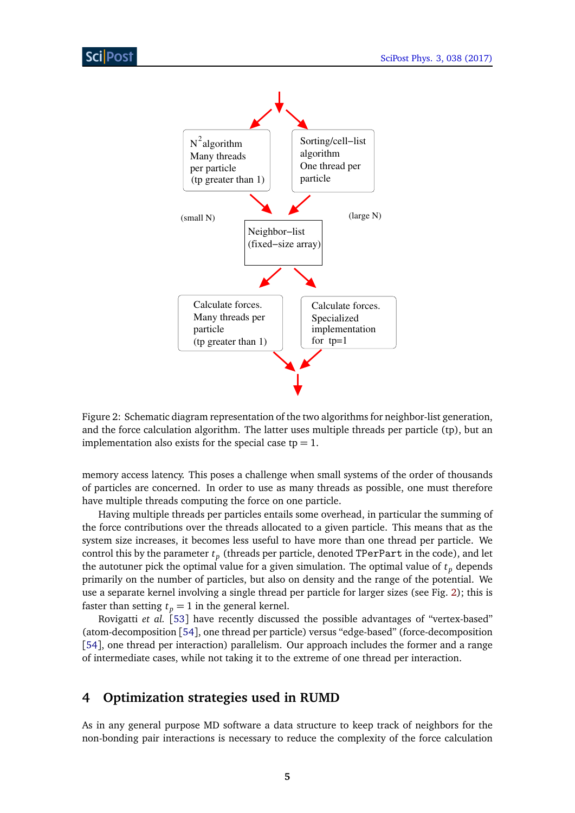

<span id="page-4-1"></span>Figure 2: Schematic diagram representation of the two algorithms for neighbor-list generation, and the force calculation algorithm. The latter uses multiple threads per particle (tp), but an implementation also exists for the special case  $tp = 1$ .

memory access latency. This poses a challenge when small systems of the order of thousands of particles are concerned. In order to use as many threads as possible, one must therefore have multiple threads computing the force on one particle.

Having multiple threads per particles entails some overhead, in particular the summing of the force contributions over the threads allocated to a given particle. This means that as the system size increases, it becomes less useful to have more than one thread per particle. We control this by the parameter  $t_p$  (threads per particle, denoted TPerPart in the code), and let the autotuner pick the optimal value for a given simulation. The optimal value of  $t_p$  depends primarily on the number of particles, but also on density and the range of the potential. We use a separate kernel involving a single thread per particle for larger sizes (see Fig. [2\)](#page-4-1); this is faster than setting  $t_p = 1$  in the general kernel.

Rovigatti *et al.* [[53](#page-19-1)] have recently discussed the possible advantages of "vertex-based" (atom-decomposition [[54](#page-19-2)], one thread per particle) versus "edge-based" (force-decomposition [[54](#page-19-2)], one thread per interaction) parallelism. Our approach includes the former and a range of intermediate cases, while not taking it to the extreme of one thread per interaction.

# <span id="page-4-0"></span>**4 Optimization strategies used in RUMD**

As in any general purpose MD software a data structure to keep track of neighbors for the non-bonding pair interactions is necessary to reduce the complexity of the force calculation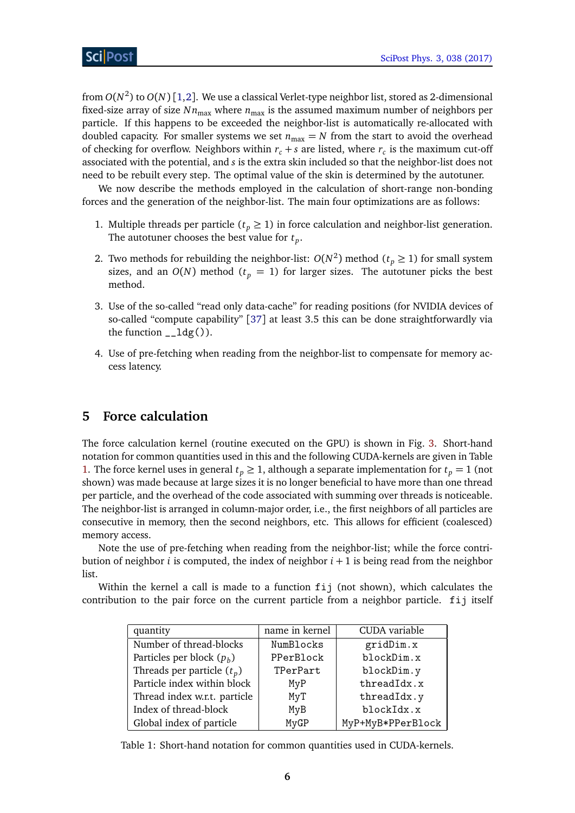from *O*(*N* 2 ) to *O*(*N*) [[1,](#page-15-1)[2](#page-15-2)]. We use a classical Verlet-type neighbor list, stored as 2-dimensional fixed-size array of size  $N n_{\text{max}}$  where  $n_{\text{max}}$  is the assumed maximum number of neighbors per particle. If this happens to be exceeded the neighbor-list is automatically re-allocated with doubled capacity. For smaller systems we set  $n_{\text{max}} = N$  from the start to avoid the overhead of checking for overflow. Neighbors within  $r_c + s$  are listed, where  $r_c$  is the maximum cut-off associated with the potential, and *s* is the extra skin included so that the neighbor-list does not need to be rebuilt every step. The optimal value of the skin is determined by the autotuner.

We now describe the methods employed in the calculation of short-range non-bonding forces and the generation of the neighbor-list. The main four optimizations are as follows:

- 1. Multiple threads per particle ( $t_p \geq 1$ ) in force calculation and neighbor-list generation. The autotuner chooses the best value for *t<sup>p</sup>* .
- 2. Two methods for rebuilding the neighbor-list:  $O(N^2)$  method ( $t_p \ge 1$ ) for small system sizes, and an  $O(N)$  method ( $t<sub>p</sub> = 1$ ) for larger sizes. The autotuner picks the best method.
- 3. Use of the so-called "read only data-cache" for reading positions (for NVIDIA devices of so-called "compute capability" [[37](#page-18-2)] at least 3.5 this can be done straightforwardly via the function  $_l$ - $ldg()$ .
- 4. Use of pre-fetching when reading from the neighbor-list to compensate for memory access latency.

# <span id="page-5-0"></span>**5 Force calculation**

The force calculation kernel (routine executed on the GPU) is shown in Fig. [3.](#page-6-0) Short-hand notation for common quantities used in this and the following CUDA-kernels are given in Table [1.](#page-5-1) The force kernel uses in general  $t_p \geq 1$ , although a separate implementation for  $t_p = 1$  (not shown) was made because at large sizes it is no longer beneficial to have more than one thread per particle, and the overhead of the code associated with summing over threads is noticeable. The neighbor-list is arranged in column-major order, i.e., the first neighbors of all particles are consecutive in memory, then the second neighbors, etc. This allows for efficient (coalesced) memory access.

Note the use of pre-fetching when reading from the neighbor-list; while the force contribution of neighbor *i* is computed, the index of neighbor *i* + 1 is being read from the neighbor list.

Within the kernel a call is made to a function fij (not shown), which calculates the contribution to the pair force on the current particle from a neighbor particle. fij itself

| quantity                     | name in kernel | CUDA variable     |
|------------------------------|----------------|-------------------|
| Number of thread-blocks      | NumBlocks      | gridDim.x         |
| Particles per block $(p_h)$  | PPerBlock      | blockDim.x        |
| Threads per particle $(t_p)$ | TPerPart       | blockDim.y        |
| Particle index within block  | MyP            | threadIdx.x       |
| Thread index w.r.t. particle | MyT            | threadIdx.y       |
| Index of thread-block        | MyB            | blockIdx.x        |
| Global index of particle     | MyGP           | MyP+MyB*PPerBlock |

<span id="page-5-1"></span>Table 1: Short-hand notation for common quantities used in CUDA-kernels.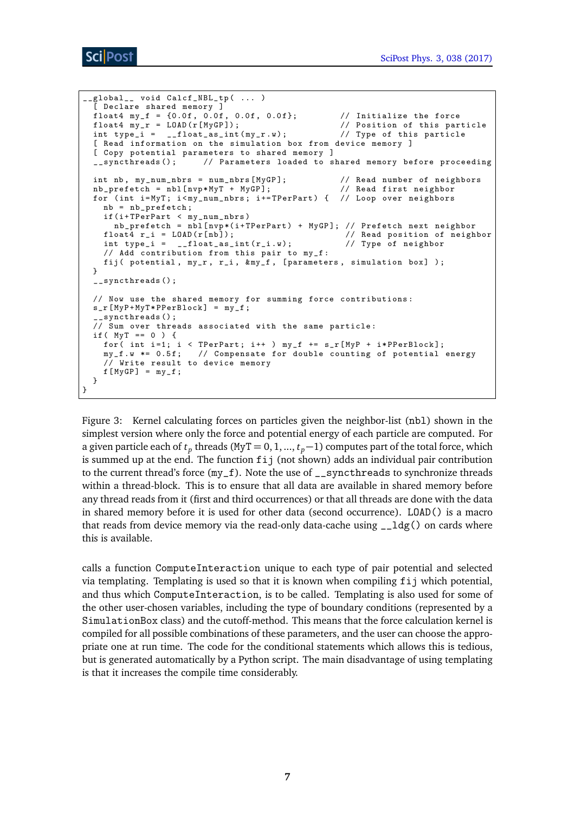```
__global__ void Calcf_NBL_tp ( ... )
   [ Declare shared memory ]
  float4 my_f = {0.0f, 0.0f, 0.0f, 0.0f}; // Initialize the force<br>float4 my_r = LOAD(r[MyGP]); // Position of this par
                                                                    // Position of this particle<br>// Type of this particle
  int type_i = \angle_float_as_int(my_r.w);
  [ Read information on the simulation box from device memory ]
  [ Copy potential parameters to shared memory ]<br>
__syncthreads(); // Parameters loaded to s
                               // Parameters loaded to shared memory before proceeding
  int nb, my\_num\_nbrs = num\_nbrs [MyGP];<br>
\frac{1}{1 + \frac{1}{1 + \frac{1}{1 + \frac{1}{1 + \frac{1}{1 + \frac{1}{1 + \frac{1}{1 + \frac{1}{1 + \frac{1}{1 + \frac{1}{1 + \frac{1}{1 + \frac{1}{1 + \frac{1}{1 + \frac{1}{1 + \frac{1}{1 + \frac{1}{1 + \frac{1}{1 + \frac{1}{1 + \frac{1}{1 + \frac{1}{1 + \frac{1}{1 + \frac{1}{1 + \frac{1}{1 + \frac{1}{1 + \frac{1}{1 + \frac{1}{1 + \frac{1}{1 + \frac{1nb_prefetch = nb1[nvp*MyT + MyGP];for ( int i= MyT ; i < my_num_nbrs ; i += TPerPart ) { // Loop over neighbors
    nb = nb_prefetch ;
     if (i+ TPerPart < my_num_nbrs )
       nb_prefetch = nbl [ nvp *( i+ TPerPart ) + MyGP ]; // Prefetch next neighbor
     float4 r_i = L0AD(r[n b]);<br>int type_i = _{-}float_as_int(r_i.w);<br>// Type of neighbor
     int type_i = _{-}float_as_int(r_i.w);
     // Add contribution from this pair to my_f :
    fij ( potential, my_r, r_i, kmy_f, [parameters, simulation box] );
  }
  __syncthreads () ;
  // Now use the shared memory for summing force contributions :
  s_r [MyP+MyT*PPerBlock] = my_f;
    __syncthreads () ;
  // Sum over threads associated with the same particle :
  if (MyT == 0) {
    for ( int i=1; i < TPerPart; i++ ) my_f += s_f [MyP + i*PPerBlock];
     my_f .w *= 0.5 f; // Compensate for double counting of potential energy
     // Write result to device memory
     f[ MyGP] = my_f;
  }
}
```
<span id="page-6-0"></span>Figure 3: Kernel calculating forces on particles given the neighbor-list (nbl) shown in the simplest version where only the force and potential energy of each particle are computed. For a given particle each of  $t_p$  threads (MyT = 0, 1, ...,  $t_p-1$ ) computes part of the total force, which is summed up at the end. The function  $f_{ij}$  (not shown) adds an individual pair contribution to the current thread's force  $(my_f)$ . Note the use of  $\Box$ syncthreads to synchronize threads within a thread-block. This is to ensure that all data are available in shared memory before any thread reads from it (first and third occurrences) or that all threads are done with the data in shared memory before it is used for other data (second occurrence). LOAD() is a macro that reads from device memory via the read-only data-cache using  $\angle \log()$  on cards where this is available.

calls a function ComputeInteraction unique to each type of pair potential and selected via templating. Templating is used so that it is known when compiling fij which potential, and thus which ComputeInteraction, is to be called. Templating is also used for some of the other user-chosen variables, including the type of boundary conditions (represented by a SimulationBox class) and the cutoff-method. This means that the force calculation kernel is compiled for all possible combinations of these parameters, and the user can choose the appropriate one at run time. The code for the conditional statements which allows this is tedious, but is generated automatically by a Python script. The main disadvantage of using templating is that it increases the compile time considerably.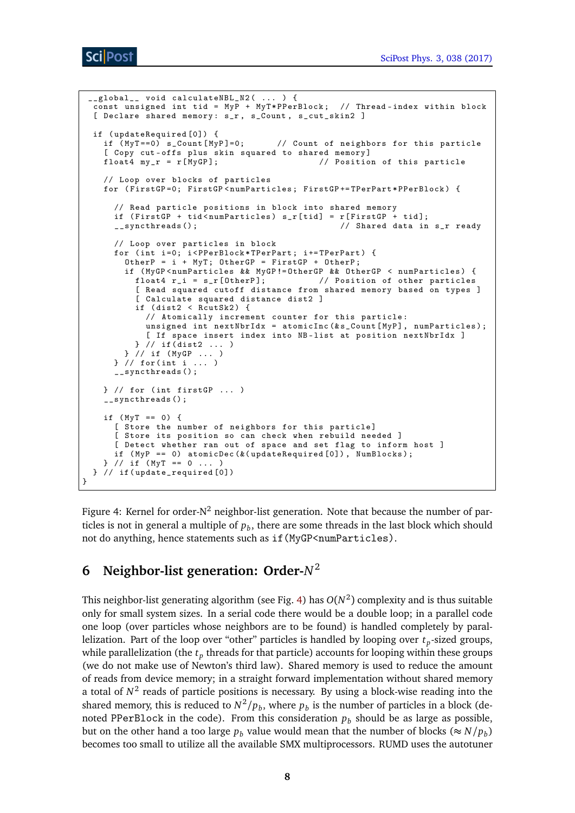```
__global__ void calculateNBL_N2( ... ) {
  const unsigned int tid = MyP + MyT*PPerBlock; // Thread-index within block
  [ Declare shared memory: s_r, s_Count, s_cut_skin2 ]
  if ( updateRequired [0]) {
    if (MyT == 0) s_Count [MyP]=0; // Count of neighbors for this particle
    [ Copy cut-offs plus skin squared to shared memory]<br>float4 my_r = r[MyGP]; // Positio
                                                // Position of this particle
    // Loop over blocks of particles
    for ( FirstGP =0; FirstGP < numParticles ; FirstGP += TPerPart * PPerBlock ) {
      // Read particle positions in block into shared memory
      if (FirstGP + tid < numParticles) s_r[tid] = r[FirstGP + tid];<br>__syncthreads(); // Shared data in
                                                    // Shared data in s_r ready
      // Loop over particles in block
      for (int i=0; i<PPerBlock*TPerPart; i+=TPerPart) {
        OtherP = i + MyT; OtherGP = FirstGP + OtherP;
        if ( MyGP < numParticles && MyGP != OtherGP && OtherGP < numParticles ) {
          float4 r_i = s_r[OtherP]; \frac{1}{2} // Position of other particles
          [ Read squared cutoff distance from shared memory based on types ]
          [ Calculate squared distance dist2 ]
          if (dist2 < RcutSk2) {
            // Atomically increment counter for this particle :
            unsigned int nextNbrIdx = atomicInc(&s_Count[MyP], numParticles);
             [ If space insert index into NB-list at position nextNbrIdx ]
          } // if ( dist2 ... )
        } // if ( MyGP ... )
      } // for ( int i ... )
      __syncthreads () ;
    } // for ( int firstGP ... )
     __syncthreads () ;
    if (MyT == 0) {
      [ Store the number of neighbors for this particle]
      [ Store its position so can check when rebuild needed ]
      [ Detect whether ran out of space and set flag to inform host ]
      if (MyP == 0) atomicDec(&(updateRequired[0]), NumBlocks);
    } / / if (MyT == 0 ... )} // if ( update_required [0])
}
```
<span id="page-7-1"></span>Figure 4: Kernel for order- $N^2$  neighbor-list generation. Note that because the number of particles is not in general a multiple of  $p_b$ , there are some threads in the last block which should not do anything, hence statements such as if (MyGP<numParticles).

# <span id="page-7-0"></span>**6 Neighbor-list generation: Order-***N* 2

This neighbor-list generating algorithm (see Fig. [4\)](#page-7-1) has  $O(N^2)$  complexity and is thus suitable only for small system sizes. In a serial code there would be a double loop; in a parallel code one loop (over particles whose neighbors are to be found) is handled completely by parallelization. Part of the loop over "other" particles is handled by looping over  $t_p$ -sized groups, while parallelization (the  $t_p$  threads for that particle) accounts for looping within these groups (we do not make use of Newton's third law). Shared memory is used to reduce the amount of reads from device memory; in a straight forward implementation without shared memory a total of  $N^2$  reads of particle positions is necessary. By using a block-wise reading into the shared memory, this is reduced to  $N^2/p_b$ , where  $p_b$  is the number of particles in a block (denoted PPerBlock in the code). From this consideration  $p_b$  should be as large as possible, but on the other hand a too large  $p_b$  value would mean that the number of blocks ( $\approx N/p_b$ ) becomes too small to utilize all the available SMX multiprocessors. RUMD uses the autotuner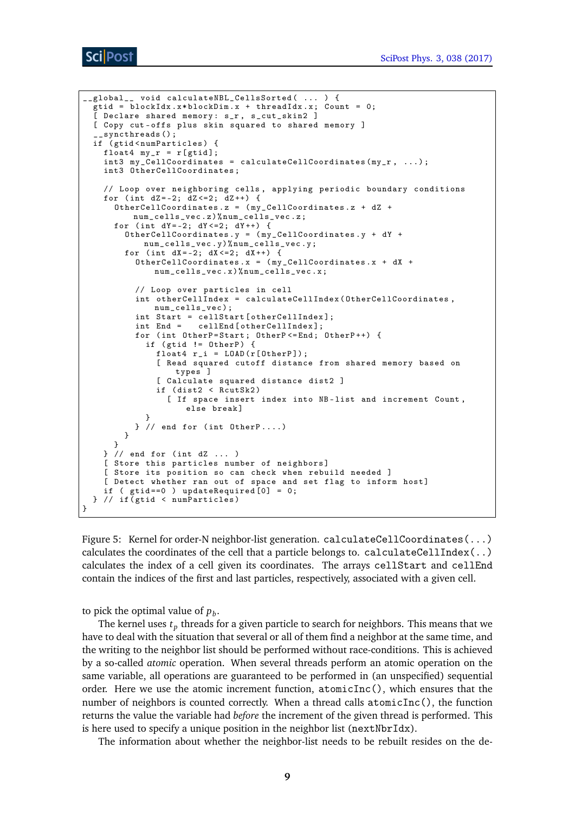```
__global__ void calculateNBL_CellsSorted ( ... ) {
  gtid = blockIdx .x * blockDim .x + threadIdx . x; Count = 0;
  [ Declare shared memory: s_r, s_cut_skin2 ]
  [ Copy cut-offs plus skin squared to shared memory ]
   __syncthreads () ;
  if (gtid<numParticles) {
   float4 my_r = r[gtid];int3 my_CellCoordinates = calculateCellCoordinates (my_r, ...,);
    int3 OtherCellCoordinates ;
    // Loop over neighboring cells , applying periodic boundary conditions
   for (int dZ = -2; dZ < = 2; dZ + +) {
      OtherCellCoordinates .z = ( my_CellCoordinates .z + dZ +
         num_cells_vec .z)% num_cells_vec .z;
      for (int dY = -2; dY < = 2; dY + 1) {
        OtherCellCoordinates .y = ( my_CellCoordinates .y + dY +
           num_cells_vec .y)% num_cells_vec .y;
        for (int dX = -2; dX < = 2; dX + 1) {
          OtherCellCoordinates.x = (my_CellCoordinates.x + dX +num_cells_vec.x)% num_cells_vec.x;
          // Loop over particles in cell
          int otherCellIndex = calculateCellIndex ( OtherCellCoordinates ,
              num_cells_vec );
          int Start = cellStart [ otherCellIndex ];
          int End = cellEnd [otherCellIndex];
          for (int OtherP=Start; OtherP <= End; OtherP++) {
            if (gtid != OtherP) {
              float4 r_i = L0AD(r[Other P]);[ Read squared cutoff distance from shared memory based on
                  types ]
              [ Calculate squared distance dist2 ]
              if ( dist2 < RcutSk2 )
                [ If space insert index into NB - list and increment Count ,
                    else break]
            }
          } // end for (int OtherP....)
        }
     }
   } // end for ( int dZ ... )
    [ Store this particles number of neighbors]
    [ Store its position so can check when rebuild needed ]
    [ Detect whether ran out of space and set flag to inform host]
   if ( gtid == 0 ) updateRequired [0] = 0;
 } // if ( gtid < numParticles )
}
```
<span id="page-8-0"></span>Figure 5: Kernel for order-N neighbor-list generation. calculateCellCoordinates(...) calculates the coordinates of the cell that a particle belongs to. calculateCellIndex $(\,.\,)$ calculates the index of a cell given its coordinates. The arrays cellStart and cellEnd contain the indices of the first and last particles, respectively, associated with a given cell.

to pick the optimal value of  $p_b$ .

The kernel uses  $t_p$  threads for a given particle to search for neighbors. This means that we have to deal with the situation that several or all of them find a neighbor at the same time, and the writing to the neighbor list should be performed without race-conditions. This is achieved by a so-called *atomic* operation. When several threads perform an atomic operation on the same variable, all operations are guaranteed to be performed in (an unspecified) sequential order. Here we use the atomic increment function, atomicInc(), which ensures that the number of neighbors is counted correctly. When a thread calls atomicInc(), the function returns the value the variable had *before* the increment of the given thread is performed. This is here used to specify a unique position in the neighbor list ( $nextNbrIdx$ ).

The information about whether the neighbor-list needs to be rebuilt resides on the de-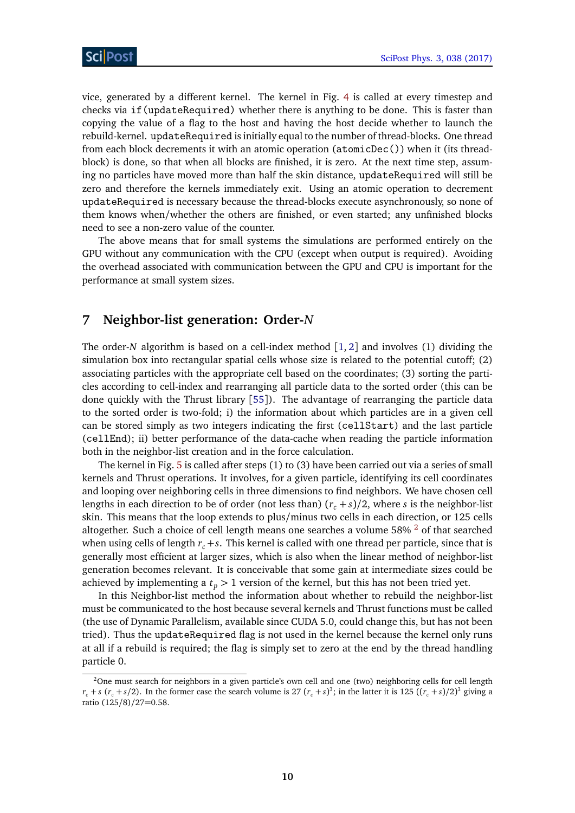vice, generated by a different kernel. The kernel in Fig. [4](#page-7-1) is called at every timestep and checks via if(updateRequired) whether there is anything to be done. This is faster than copying the value of a flag to the host and having the host decide whether to launch the rebuild-kernel. updateRequired is initially equal to the number of thread-blocks. One thread from each block decrements it with an atomic operation (atomicDec()) when it (its threadblock) is done, so that when all blocks are finished, it is zero. At the next time step, assuming no particles have moved more than half the skin distance, updateRequired will still be zero and therefore the kernels immediately exit. Using an atomic operation to decrement updateRequired is necessary because the thread-blocks execute asynchronously, so none of them knows when/whether the others are finished, or even started; any unfinished blocks need to see a non-zero value of the counter.

The above means that for small systems the simulations are performed entirely on the GPU without any communication with the CPU (except when output is required). Avoiding the overhead associated with communication between the GPU and CPU is important for the performance at small system sizes.

### <span id="page-9-0"></span>**7 Neighbor-list generation: Order-***N*

The order-*N* algorithm is based on a cell-index method [[1,](#page-15-1) [2](#page-15-2)] and involves (1) dividing the simulation box into rectangular spatial cells whose size is related to the potential cutoff; (2) associating particles with the appropriate cell based on the coordinates; (3) sorting the particles according to cell-index and rearranging all particle data to the sorted order (this can be done quickly with the Thrust library [[55](#page-19-3)]). The advantage of rearranging the particle data to the sorted order is two-fold; i) the information about which particles are in a given cell can be stored simply as two integers indicating the first (cellStart) and the last particle (cellEnd); ii) better performance of the data-cache when reading the particle information both in the neighbor-list creation and in the force calculation.

The kernel in Fig. [5](#page-8-0) is called after steps (1) to (3) have been carried out via a series of small kernels and Thrust operations. It involves, for a given particle, identifying its cell coordinates and looping over neighboring cells in three dimensions to find neighbors. We have chosen cell lengths in each direction to be of order (not less than)  $(r_c + s)/2$ , where *s* is the neighbor-list skin. This means that the loop extends to plus/minus two cells in each direction, or 125 cells altogether. Such a choice of cell length means one searches a volume  $58\%$  <sup>[2](#page-9-1)</sup> of that searched when using cells of length  $r_c + s$ . This kernel is called with one thread per particle, since that is generally most efficient at larger sizes, which is also when the linear method of neighbor-list generation becomes relevant. It is conceivable that some gain at intermediate sizes could be achieved by implementing a  $t_p > 1$  version of the kernel, but this has not been tried yet.

In this Neighbor-list method the information about whether to rebuild the neighbor-list must be communicated to the host because several kernels and Thrust functions must be called (the use of Dynamic Parallelism, available since CUDA 5.0, could change this, but has not been tried). Thus the updateRequired flag is not used in the kernel because the kernel only runs at all if a rebuild is required; the flag is simply set to zero at the end by the thread handling particle 0.

<span id="page-9-1"></span><sup>&</sup>lt;sup>2</sup>One must search for neighbors in a given particle's own cell and one (two) neighboring cells for cell length  $r_c + s$  ( $r_c + s/2$ ). In the former case the search volume is 27 ( $r_c + s$ )<sup>3</sup>; in the latter it is 125 (( $r_c + s$ )/2)<sup>3</sup> giving a ratio (125/8)/27=0.58.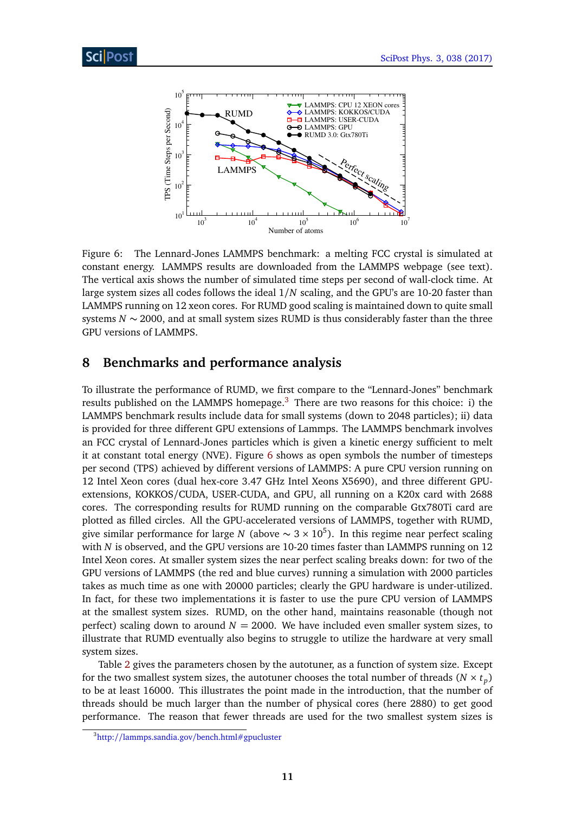

<span id="page-10-2"></span>Figure 6: The Lennard-Jones LAMMPS benchmark: a melting FCC crystal is simulated at constant energy. LAMMPS results are downloaded from the LAMMPS webpage (see text). The vertical axis shows the number of simulated time steps per second of wall-clock time. At large system sizes all codes follows the ideal 1*/N* scaling, and the GPU's are 10-20 faster than LAMMPS running on 12 xeon cores. For RUMD good scaling is maintained down to quite small systems *N* ∼ 2000, and at small system sizes RUMD is thus considerably faster than the three GPU versions of LAMMPS.

### <span id="page-10-0"></span>**8 Benchmarks and performance analysis**

To illustrate the performance of RUMD, we first compare to the "Lennard-Jones" benchmark results published on the LAMMPS homepage.<sup>[3](#page-10-1)</sup> There are two reasons for this choice: i) the LAMMPS benchmark results include data for small systems (down to 2048 particles); ii) data is provided for three different GPU extensions of Lammps. The LAMMPS benchmark involves an FCC crystal of Lennard-Jones particles which is given a kinetic energy sufficient to melt it at constant total energy (NVE). Figure [6](#page-10-2) shows as open symbols the number of timesteps per second (TPS) achieved by different versions of LAMMPS: A pure CPU version running on 12 Intel Xeon cores (dual hex-core 3.47 GHz Intel Xeons X5690), and three different GPUextensions, KOKKOS/CUDA, USER-CUDA, and GPU, all running on a K20x card with 2688 cores. The corresponding results for RUMD running on the comparable Gtx780Ti card are plotted as filled circles. All the GPU-accelerated versions of LAMMPS, together with RUMD, give similar performance for large *N* (above  $\sim 3 \times 10^5$ ). In this regime near perfect scaling with *N* is observed, and the GPU versions are 10-20 times faster than LAMMPS running on 12 Intel Xeon cores. At smaller system sizes the near perfect scaling breaks down: for two of the GPU versions of LAMMPS (the red and blue curves) running a simulation with 2000 particles takes as much time as one with 20000 particles; clearly the GPU hardware is under-utilized. In fact, for these two implementations it is faster to use the pure CPU version of LAMMPS at the smallest system sizes. RUMD, on the other hand, maintains reasonable (though not perfect) scaling down to around  $N = 2000$ . We have included even smaller system sizes, to illustrate that RUMD eventually also begins to struggle to utilize the hardware at very small system sizes.

Table [2](#page-11-0) gives the parameters chosen by the autotuner, as a function of system size. Except for the two smallest system sizes, the autotuner chooses the total number of threads  $(N \times t_p)$ to be at least 16000. This illustrates the point made in the introduction, that the number of threads should be much larger than the number of physical cores (here 2880) to get good performance. The reason that fewer threads are used for the two smallest system sizes is

<span id="page-10-1"></span><sup>&</sup>lt;sup>3</sup>http://lammps.sandia.gov/[bench.html#gpucluster](http://lammps.sandia.gov/bench.html#gpucluster)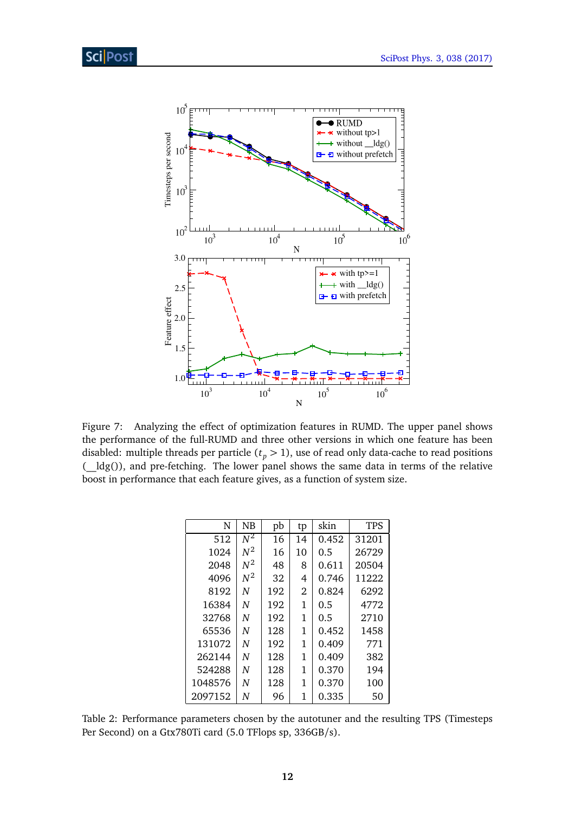

<span id="page-11-1"></span>Figure 7: Analyzing the effect of optimization features in RUMD. The upper panel shows the performance of the full-RUMD and three other versions in which one feature has been disabled: multiple threads per particle  $(t_p > 1)$ , use of read only data-cache to read positions (\_\_ldg()), and pre-fetching. The lower panel shows the same data in terms of the relative boost in performance that each feature gives, as a function of system size.

| N       | NB               | pb  | tp | skin  | TPS   |
|---------|------------------|-----|----|-------|-------|
| 512     | $\overline{N^2}$ | 16  | 14 | 0.452 | 31201 |
| 1024    | $N^2$            | 16  | 10 | 0.5   | 26729 |
| 2048    | $N^2$            | 48  | 8  | 0.611 | 20504 |
| 4096    | $N^2$            | 32  | 4  | 0.746 | 11222 |
| 8192    | N                | 192 | 2  | 0.824 | 6292  |
| 16384   | N                | 192 | 1  | 0.5   | 4772  |
| 32768   | N                | 192 | 1  | 0.5   | 2710  |
| 65536   | N                | 128 | 1  | 0.452 | 1458  |
| 131072  | N                | 192 | 1  | 0.409 | 771   |
| 262144  | N                | 128 | 1  | 0.409 | 382   |
| 524288  | N                | 128 | 1  | 0.370 | 194   |
| 1048576 | N                | 128 | 1  | 0.370 | 100   |
| 2097152 | N                | 96  | 1  | 0.335 | 50    |

<span id="page-11-0"></span>Table 2: Performance parameters chosen by the autotuner and the resulting TPS (Timesteps Per Second) on a Gtx780Ti card (5.0 TFlops sp, 336GB/s).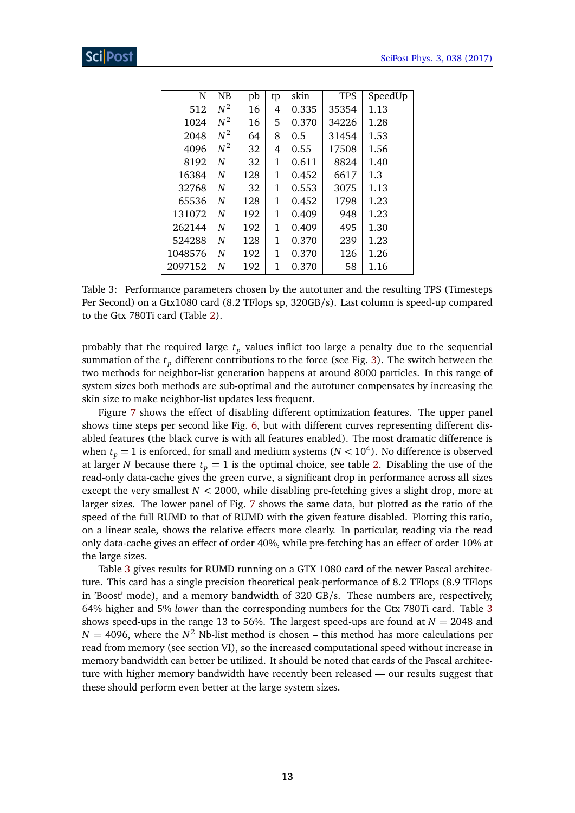| N       | NB               | pb  | tp           | skin  | <b>TPS</b> | SpeedUp |
|---------|------------------|-----|--------------|-------|------------|---------|
| 512     | $\overline{N^2}$ | 16  | 4            | 0.335 | 35354      | 1.13    |
| 1024    | $N^2$            | 16  | 5            | 0.370 | 34226      | 1.28    |
| 2048    | $N^2$            | 64  | 8            | 0.5   | 31454      | 1.53    |
| 4096    | $N^2$            | 32  | 4            | 0.55  | 17508      | 1.56    |
| 8192    | N                | 32  | 1            | 0.611 | 8824       | 1.40    |
| 16384   | N                | 128 | 1            | 0.452 | 6617       | 1.3     |
| 32768   | N                | 32  | 1            | 0.553 | 3075       | 1.13    |
| 65536   | N                | 128 | $\mathbf{1}$ | 0.452 | 1798       | 1.23    |
| 131072  | N                | 192 | 1            | 0.409 | 948        | 1.23    |
| 262144  | N                | 192 | 1            | 0.409 | 495        | 1.30    |
| 524288  | N                | 128 | 1            | 0.370 | 239        | 1.23    |
| 1048576 | N                | 192 | 1            | 0.370 | 126        | 1.26    |
| 2097152 | Ν                | 192 | 1            | 0.370 | 58         | 1.16    |

<span id="page-12-0"></span>Table 3: Performance parameters chosen by the autotuner and the resulting TPS (Timesteps Per Second) on a Gtx1080 card (8.2 TFlops sp, 320GB/s). Last column is speed-up compared to the Gtx 780Ti card (Table [2\)](#page-11-0).

probably that the required large *t<sup>p</sup>* values inflict too large a penalty due to the sequential summation of the  $t_p$  different contributions to the force (see Fig. [3\)](#page-6-0). The switch between the two methods for neighbor-list generation happens at around 8000 particles. In this range of system sizes both methods are sub-optimal and the autotuner compensates by increasing the skin size to make neighbor-list updates less frequent.

Figure [7](#page-11-1) shows the effect of disabling different optimization features. The upper panel shows time steps per second like Fig. [6,](#page-10-2) but with different curves representing different disabled features (the black curve is with all features enabled). The most dramatic difference is when  $t_p = 1$  is enforced, for small and medium systems ( $N < 10^4$ ). No difference is observed at larger *N* because there  $t_p = 1$  is the optimal choice, see table [2.](#page-11-0) Disabling the use of the read-only data-cache gives the green curve, a significant drop in performance across all sizes except the very smallest *N <* 2000, while disabling pre-fetching gives a slight drop, more at larger sizes. The lower panel of Fig. [7](#page-11-1) shows the same data, but plotted as the ratio of the speed of the full RUMD to that of RUMD with the given feature disabled. Plotting this ratio, on a linear scale, shows the relative effects more clearly. In particular, reading via the read only data-cache gives an effect of order 40%, while pre-fetching has an effect of order 10% at the large sizes.

Table [3](#page-12-0) gives results for RUMD running on a GTX 1080 card of the newer Pascal architecture. This card has a single precision theoretical peak-performance of 8.2 TFlops (8.9 TFlops in 'Boost' mode), and a memory bandwidth of 320 GB/s. These numbers are, respectively, 64% higher and 5% *lower* than the corresponding numbers for the Gtx 780Ti card. Table [3](#page-12-0) shows speed-ups in the range 13 to 56%. The largest speed-ups are found at  $N = 2048$  and  $N = 4096$ , where the  $N^2$  Nb-list method is chosen – this method has more calculations per read from memory (see section VI), so the increased computational speed without increase in memory bandwidth can better be utilized. It should be noted that cards of the Pascal architecture with higher memory bandwidth have recently been released — our results suggest that these should perform even better at the large system sizes.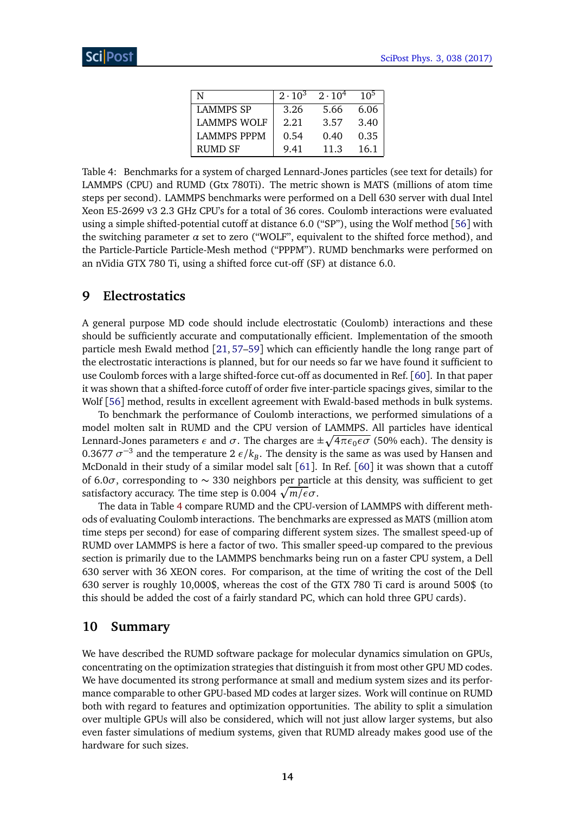| N                  | $2 \cdot 10^3$ | $2 \cdot 10^4$ | 10 <sup>5</sup> |
|--------------------|----------------|----------------|-----------------|
| <b>LAMMPS SP</b>   | 3.26           | 5.66           | 6.06            |
| <b>LAMMPS WOLF</b> | 2.21           | 3.57           | 3.40            |
| <b>LAMMPS PPPM</b> | 0.54           | 0.40           | 0.35            |
| <b>RUMD SF</b>     | 9.41           | 11.3           | 16.1            |

<span id="page-13-2"></span>Table 4: Benchmarks for a system of charged Lennard-Jones particles (see text for details) for LAMMPS (CPU) and RUMD (Gtx 780Ti). The metric shown is MATS (millions of atom time steps per second). LAMMPS benchmarks were performed on a Dell 630 server with dual Intel Xeon E5-2699 v3 2.3 GHz CPU's for a total of 36 cores. Coulomb interactions were evaluated using a simple shifted-potential cutoff at distance 6.0 ("SP"), using the Wolf method [[56](#page-19-4)] with the switching parameter  $\alpha$  set to zero ("WOLF", equivalent to the shifted force method), and the Particle-Particle Particle-Mesh method ("PPPM"). RUMD benchmarks were performed on an nVidia GTX 780 Ti, using a shifted force cut-off (SF) at distance 6.0.

### <span id="page-13-0"></span>**9 Electrostatics**

A general purpose MD code should include electrostatic (Coulomb) interactions and these should be sufficiently accurate and computationally efficient. Implementation of the smooth particle mesh Ewald method [[21,](#page-17-1) [57](#page-19-5)[–59](#page-19-6)] which can efficiently handle the long range part of the electrostatic interactions is planned, but for our needs so far we have found it sufficient to use Coulomb forces with a large shifted-force cut-off as documented in Ref. [[60](#page-19-7)]. In that paper it was shown that a shifted-force cutoff of order five inter-particle spacings gives, similar to the Wolf [[56](#page-19-4)] method, results in excellent agreement with Ewald-based methods in bulk systems.

To benchmark the performance of Coulomb interactions, we performed simulations of a model molten salt in RUMD and the CPU version of LAMMPS. All particles have identical Lennard-Jones parameters  $\epsilon$  and  $\sigma.$  The charges are  $\pm\sqrt{4\pi\epsilon_{0}\epsilon\sigma}$  (50% each). The density is 0.3677  $\sigma^{-3}$  and the temperature 2  $\epsilon/k_B$ . The density is the same as was used by Hansen and McDonald in their study of a similar model salt  $[61]$  $[61]$  $[61]$ . In Ref.  $[60]$  $[60]$  $[60]$  it was shown that a cutoff of 6.0*σ*, corresponding to ∼ 330 neighbors per particle at this density, was sufficient to get satisfactory accuracy. The time step is 0.004 p *m/εσ*.

The data in Table [4](#page-13-2) compare RUMD and the CPU-version of LAMMPS with different methods of evaluating Coulomb interactions. The benchmarks are expressed as MATS (million atom time steps per second) for ease of comparing different system sizes. The smallest speed-up of RUMD over LAMMPS is here a factor of two. This smaller speed-up compared to the previous section is primarily due to the LAMMPS benchmarks being run on a faster CPU system, a Dell 630 server with 36 XEON cores. For comparison, at the time of writing the cost of the Dell 630 server is roughly 10,000\$, whereas the cost of the GTX 780 Ti card is around 500\$ (to this should be added the cost of a fairly standard PC, which can hold three GPU cards).

### <span id="page-13-1"></span>**10 Summary**

We have described the RUMD software package for molecular dynamics simulation on GPUs, concentrating on the optimization strategies that distinguish it from most other GPU MD codes. We have documented its strong performance at small and medium system sizes and its performance comparable to other GPU-based MD codes at larger sizes. Work will continue on RUMD both with regard to features and optimization opportunities. The ability to split a simulation over multiple GPUs will also be considered, which will not just allow larger systems, but also even faster simulations of medium systems, given that RUMD already makes good use of the hardware for such sizes.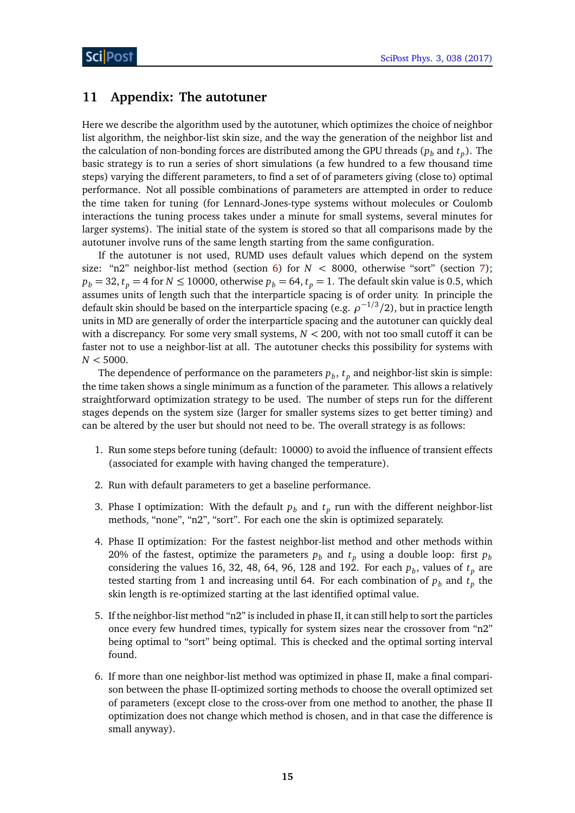# <span id="page-14-0"></span>**11 Appendix: The autotuner**

Here we describe the algorithm used by the autotuner, which optimizes the choice of neighbor list algorithm, the neighbor-list skin size, and the way the generation of the neighbor list and the calculation of non-bonding forces are distributed among the GPU threads ( $p_b$  and  $t_p$ ). The basic strategy is to run a series of short simulations (a few hundred to a few thousand time steps) varying the different parameters, to find a set of of parameters giving (close to) optimal performance. Not all possible combinations of parameters are attempted in order to reduce the time taken for tuning (for Lennard-Jones-type systems without molecules or Coulomb interactions the tuning process takes under a minute for small systems, several minutes for larger systems). The initial state of the system is stored so that all comparisons made by the autotuner involve runs of the same length starting from the same configuration.

If the autotuner is not used, RUMD uses default values which depend on the system size: "n2" neighbor-list method (section [6\)](#page-7-0) for *N <* 8000, otherwise "sort" (section [7\)](#page-9-0);  $p_b = 32$ ,  $t_p = 4$  for  $N \le 10000$ , otherwise  $p_b = 64$ ,  $t_p = 1$ . The default skin value is 0.5, which assumes units of length such that the interparticle spacing is of order unity. In principle the default skin should be based on the interparticle spacing (e.g. *ρ* −1*/*3 */*2), but in practice length units in MD are generally of order the interparticle spacing and the autotuner can quickly deal with a discrepancy. For some very small systems, *N <* 200, with not too small cutoff it can be faster not to use a neighbor-list at all. The autotuner checks this possibility for systems with *N <* 5000.

The dependence of performance on the parameters  $p_b$ ,  $t_p$  and neighbor-list skin is simple: the time taken shows a single minimum as a function of the parameter. This allows a relatively straightforward optimization strategy to be used. The number of steps run for the different stages depends on the system size (larger for smaller systems sizes to get better timing) and can be altered by the user but should not need to be. The overall strategy is as follows:

- 1. Run some steps before tuning (default: 10000) to avoid the influence of transient effects (associated for example with having changed the temperature).
- 2. Run with default parameters to get a baseline performance.
- 3. Phase I optimization: With the default  $p_b$  and  $t_p$  run with the different neighbor-list methods, "none", "n2", "sort". For each one the skin is optimized separately.
- 4. Phase II optimization: For the fastest neighbor-list method and other methods within 20% of the fastest, optimize the parameters  $p_b$  and  $t_p$  using a double loop: first  $p_b$ considering the values 16, 32, 48, 64, 96, 128 and 192. For each  $p_b$ , values of  $t_p$  are tested starting from 1 and increasing until 64. For each combination of  $p_b$  and  $t_p$  the skin length is re-optimized starting at the last identified optimal value.
- 5. If the neighbor-list method "n2" is included in phase II, it can still help to sort the particles once every few hundred times, typically for system sizes near the crossover from "n2" being optimal to "sort" being optimal. This is checked and the optimal sorting interval found.
- 6. If more than one neighbor-list method was optimized in phase II, make a final comparison between the phase II-optimized sorting methods to choose the overall optimized set of parameters (except close to the cross-over from one method to another, the phase II optimization does not change which method is chosen, and in that case the difference is small anyway).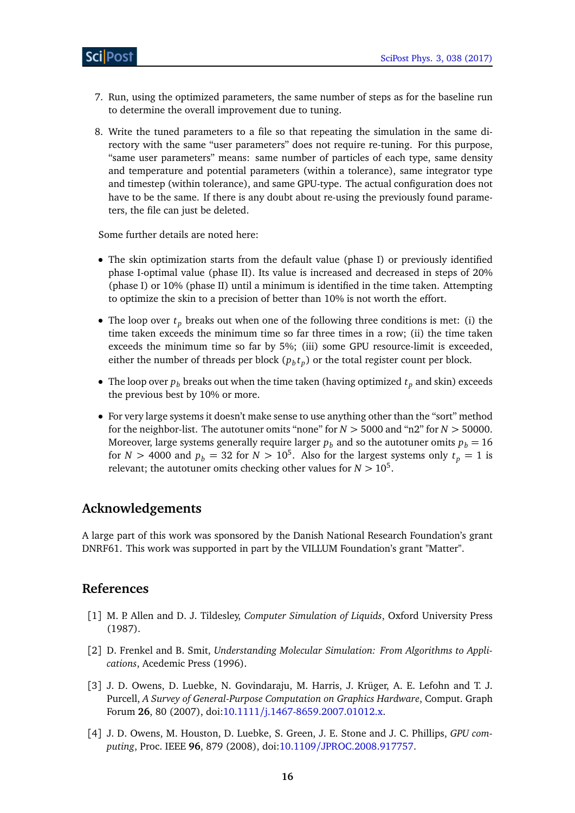- 7. Run, using the optimized parameters, the same number of steps as for the baseline run to determine the overall improvement due to tuning.
- <span id="page-15-0"></span>8. Write the tuned parameters to a file so that repeating the simulation in the same directory with the same "user parameters" does not require re-tuning. For this purpose, "same user parameters" means: same number of particles of each type, same density and temperature and potential parameters (within a tolerance), same integrator type and timestep (within tolerance), and same GPU-type. The actual configuration does not have to be the same. If there is any doubt about re-using the previously found parameters, the file can just be deleted.

Some further details are noted here:

- The skin optimization starts from the default value (phase I) or previously identified phase I-optimal value (phase II). Its value is increased and decreased in steps of 20% (phase I) or 10% (phase II) until a minimum is identified in the time taken. Attempting to optimize the skin to a precision of better than 10% is not worth the effort.
- The loop over  $t_p$  breaks out when one of the following three conditions is met: (i) the time taken exceeds the minimum time so far three times in a row; (ii) the time taken exceeds the minimum time so far by 5%; (iii) some GPU resource-limit is exceeded, either the number of threads per block  $(p_b t_p)$  or the total register count per block.
- The loop over  $p_b$  breaks out when the time taken (having optimized  $t_p$  and skin) exceeds the previous best by 10% or more.
- For very large systems it doesn't make sense to use anything other than the "sort" method for the neighbor-list. The autotuner omits "none" for  $N > 5000$  and "n2" for  $N > 50000$ . Moreover, large systems generally require larger  $p_b$  and so the autotuner omits  $p_b = 16$ for *N* > 4000 and  $p_b = 32$  for  $N > 10^5$ . Also for the largest systems only  $t_p = 1$  is relevant; the autotuner omits checking other values for  $N > 10^5$ .

# **Acknowledgements**

A large part of this work was sponsored by the Danish National Research Foundation's grant DNRF61. This work was supported in part by the VILLUM Foundation's grant "Matter".

# **References**

- <span id="page-15-1"></span>[1] M. P. Allen and D. J. Tildesley, *Computer Simulation of Liquids*, Oxford University Press (1987).
- <span id="page-15-2"></span>[2] D. Frenkel and B. Smit, *Understanding Molecular Simulation: From Algorithms to Applications*, Acedemic Press (1996).
- <span id="page-15-3"></span>[3] J. D. Owens, D. Luebke, N. Govindaraju, M. Harris, J. Krüger, A. E. Lefohn and T. J. Purcell, *A Survey of General-Purpose Computation on Graphics Hardware*, Comput. Graph Forum **26**, 80 (2007), doi:10.1111/[j.1467-8659.2007.01012.x.](http://dx.doi.org/10.1111/j.1467-8659.2007.01012.x)
- [4] J. D. Owens, M. Houston, D. Luebke, S. Green, J. E. Stone and J. C. Phillips, *GPU computing*, Proc. IEEE **96**, 879 (2008), doi:10.1109/[JPROC.2008.917757.](http://dx.doi.org/10.1109/JPROC.2008.917757)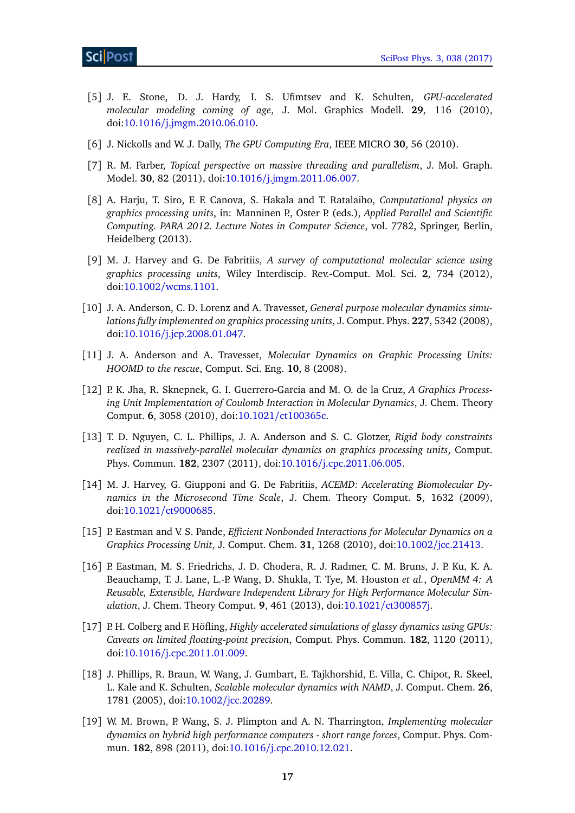- <span id="page-16-1"></span>[5] J. E. Stone, D. J. Hardy, I. S. Ufimtsev and K. Schulten, *GPU-accelerated molecular modeling coming of age*, J. Mol. Graphics Modell. **29**, 116 (2010), doi:10.1016/[j.jmgm.2010.06.010.](http://dx.doi.org/10.1016/j.jmgm.2010.06.010)
- [6] J. Nickolls and W. J. Dally, *The GPU Computing Era*, IEEE MICRO **30**, 56 (2010).
- [7] R. M. Farber, *Topical perspective on massive threading and parallelism*, J. Mol. Graph. Model. **30**, 82 (2011), doi:10.1016/[j.jmgm.2011.06.007.](http://dx.doi.org/10.1016/j.jmgm.2011.06.007)
- [8] A. Harju, T. Siro, F. F. Canova, S. Hakala and T. Ratalaiho, *Computational physics on graphics processing units*, in: Manninen P., Oster P. (eds.), *Applied Parallel and Scientific Computing. PARA 2012. Lecture Notes in Computer Science*, vol. 7782, Springer, Berlin, Heidelberg (2013).
- <span id="page-16-0"></span>[9] M. J. Harvey and G. De Fabritiis, *A survey of computational molecular science using graphics processing units*, Wiley Interdiscip. Rev.-Comput. Mol. Sci. **2**, 734 (2012), doi:10.1002/[wcms.1101.](http://dx.doi.org/10.1002/wcms.1101)
- <span id="page-16-2"></span>[10] J. A. Anderson, C. D. Lorenz and A. Travesset, *General purpose molecular dynamics simulations fully implemented on graphics processing units*, J. Comput. Phys. **227**, 5342 (2008), doi:10.1016/[j.jcp.2008.01.047.](http://dx.doi.org/10.1016/j.jcp.2008.01.047)
- [11] J. A. Anderson and A. Travesset, *Molecular Dynamics on Graphic Processing Units: HOOMD to the rescue*, Comput. Sci. Eng. **10**, 8 (2008).
- [12] P. K. Jha, R. Sknepnek, G. I. Guerrero-Garcia and M. O. de la Cruz, *A Graphics Processing Unit Implementation of Coulomb Interaction in Molecular Dynamics*, J. Chem. Theory Comput. **6**, 3058 (2010), doi:10.1021/[ct100365c.](http://dx.doi.org/10.1021/ct100365c)
- <span id="page-16-3"></span>[13] T. D. Nguyen, C. L. Phillips, J. A. Anderson and S. C. Glotzer, *Rigid body constraints realized in massively-parallel molecular dynamics on graphics processing units*, Comput. Phys. Commun. **182**, 2307 (2011), doi:10.1016/[j.cpc.2011.06.005.](http://dx.doi.org/10.1016/j.cpc.2011.06.005)
- <span id="page-16-4"></span>[14] M. J. Harvey, G. Giupponi and G. De Fabritiis, *ACEMD: Accelerating Biomolecular Dynamics in the Microsecond Time Scale*, J. Chem. Theory Comput. **5**, 1632 (2009), doi:10.1021/[ct9000685.](http://dx.doi.org/10.1021/ct9000685)
- <span id="page-16-5"></span>[15] P. Eastman and V. S. Pande, *Efficient Nonbonded Interactions for Molecular Dynamics on a Graphics Processing Unit*, J. Comput. Chem. **31**, 1268 (2010), doi:10.1002/[jcc.21413.](http://dx.doi.org/10.1002/jcc.21413)
- <span id="page-16-6"></span>[16] P. Eastman, M. S. Friedrichs, J. D. Chodera, R. J. Radmer, C. M. Bruns, J. P. Ku, K. A. Beauchamp, T. J. Lane, L.-P. Wang, D. Shukla, T. Tye, M. Houston *et al.*, *OpenMM 4: A Reusable, Extensible, Hardware Independent Library for High Performance Molecular Simulation*, J. Chem. Theory Comput. **9**, 461 (2013), doi:10.1021/[ct300857j.](http://dx.doi.org/10.1021/ct300857j)
- <span id="page-16-7"></span>[17] P. H. Colberg and F. Höfling, *Highly accelerated simulations of glassy dynamics using GPUs: Caveats on limited floating-point precision*, Comput. Phys. Commun. **182**, 1120 (2011), doi:10.1016/[j.cpc.2011.01.009.](http://dx.doi.org/10.1016/j.cpc.2011.01.009)
- <span id="page-16-8"></span>[18] J. Phillips, R. Braun, W. Wang, J. Gumbart, E. Tajkhorshid, E. Villa, C. Chipot, R. Skeel, L. Kale and K. Schulten, *Scalable molecular dynamics with NAMD*, J. Comput. Chem. **26**, 1781 (2005), doi:10.1002/[jcc.20289.](http://dx.doi.org/10.1002/jcc.20289)
- <span id="page-16-9"></span>[19] W. M. Brown, P. Wang, S. J. Plimpton and A. N. Tharrington, *Implementing molecular dynamics on hybrid high performance computers - short range forces*, Comput. Phys. Commun. **182**, 898 (2011), doi:10.1016/[j.cpc.2010.12.021.](http://dx.doi.org/10.1016/j.cpc.2010.12.021)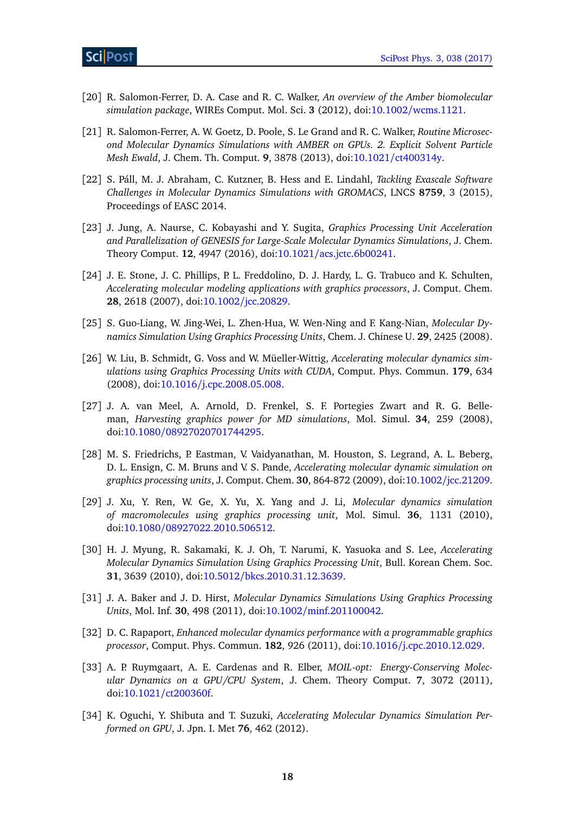- <span id="page-17-0"></span>[20] R. Salomon-Ferrer, D. A. Case and R. C. Walker, *An overview of the Amber biomolecular simulation package*, WIREs Comput. Mol. Sci. **3** (2012), doi:10.1002/[wcms.1121.](http://dx.doi.org/10.1002/wcms.1121)
- <span id="page-17-1"></span>[21] R. Salomon-Ferrer, A. W. Goetz, D. Poole, S. Le Grand and R. C. Walker, *Routine Microsecond Molecular Dynamics Simulations with AMBER on GPUs. 2. Explicit Solvent Particle Mesh Ewald*, J. Chem. Th. Comput. **9**, 3878 (2013), doi:10.1021/[ct400314y.](http://dx.doi.org/10.1021/ct400314y)
- <span id="page-17-2"></span>[22] S. Páll, M. J. Abraham, C. Kutzner, B. Hess and E. Lindahl, *Tackling Exascale Software Challenges in Molecular Dynamics Simulations with GROMACS*, LNCS **8759**, 3 (2015), Proceedings of EASC 2014.
- <span id="page-17-3"></span>[23] J. Jung, A. Naurse, C. Kobayashi and Y. Sugita, *Graphics Processing Unit Acceleration and Parallelization of GENESIS for Large-Scale Molecular Dynamics Simulations*, J. Chem. Theory Comput. **12**, 4947 (2016), doi:10.1021/[acs.jctc.6b00241.](http://dx.doi.org/10.1021/acs.jctc.6b00241)
- <span id="page-17-4"></span>[24] J. E. Stone, J. C. Phillips, P. L. Freddolino, D. J. Hardy, L. G. Trabuco and K. Schulten, *Accelerating molecular modeling applications with graphics processors*, J. Comput. Chem. **28**, 2618 (2007), doi:10.1002/[jcc.20829.](http://dx.doi.org/10.1002/jcc.20829)
- [25] S. Guo-Liang, W. Jing-Wei, L. Zhen-Hua, W. Wen-Ning and F. Kang-Nian, *Molecular Dynamics Simulation Using Graphics Processing Units*, Chem. J. Chinese U. **29**, 2425 (2008).
- [26] W. Liu, B. Schmidt, G. Voss and W. Müeller-Wittig, *Accelerating molecular dynamics simulations using Graphics Processing Units with CUDA*, Comput. Phys. Commun. **179**, 634 (2008), doi:10.1016/[j.cpc.2008.05.008.](http://dx.doi.org/10.1016/j.cpc.2008.05.008)
- [27] J. A. van Meel, A. Arnold, D. Frenkel, S. F. Portegies Zwart and R. G. Belleman, *Harvesting graphics power for MD simulations*, Mol. Simul. **34**, 259 (2008), doi:10.1080/[08927020701744295.](http://dx.doi.org/10.1080/08927020701744295)
- [28] M. S. Friedrichs, P. Eastman, V. Vaidyanathan, M. Houston, S. Legrand, A. L. Beberg, D. L. Ensign, C. M. Bruns and V. S. Pande, *Accelerating molecular dynamic simulation on graphics processing units*, J. Comput. Chem. **30**, 864-872 (2009), doi:10.1002/[jcc.21209.](http://dx.doi.org/10.1002/jcc.21209)
- [29] J. Xu, Y. Ren, W. Ge, X. Yu, X. Yang and J. Li, *Molecular dynamics simulation of macromolecules using graphics processing unit*, Mol. Simul. **36**, 1131 (2010), doi:10.1080/[08927022.2010.506512.](http://dx.doi.org/10.1080/08927022.2010.506512)
- [30] H. J. Myung, R. Sakamaki, K. J. Oh, T. Narumi, K. Yasuoka and S. Lee, *Accelerating Molecular Dynamics Simulation Using Graphics Processing Unit*, Bull. Korean Chem. Soc. **31**, 3639 (2010), doi:10.5012/[bkcs.2010.31.12.3639.](http://dx.doi.org/10.5012/bkcs.2010.31.12.3639)
- [31] J. A. Baker and J. D. Hirst, *Molecular Dynamics Simulations Using Graphics Processing Units*, Mol. Inf. **30**, 498 (2011), doi:10.1002/[minf.201100042.](http://dx.doi.org/10.1002/minf.201100042)
- [32] D. C. Rapaport, *Enhanced molecular dynamics performance with a programmable graphics processor*, Comput. Phys. Commun. **182**, 926 (2011), doi:10.1016/[j.cpc.2010.12.029.](http://dx.doi.org/10.1016/j.cpc.2010.12.029)
- [33] A. P. Ruymgaart, A. E. Cardenas and R. Elber, *MOIL-opt: Energy-Conserving Molecular Dynamics on a GPU/CPU System*, J. Chem. Theory Comput. **7**, 3072 (2011), doi:10.1021/[ct200360f.](http://dx.doi.org/10.1021/ct200360f)
- [34] K. Oguchi, Y. Shibuta and T. Suzuki, *Accelerating Molecular Dynamics Simulation Performed on GPU*, J. Jpn. I. Met **76**, 462 (2012).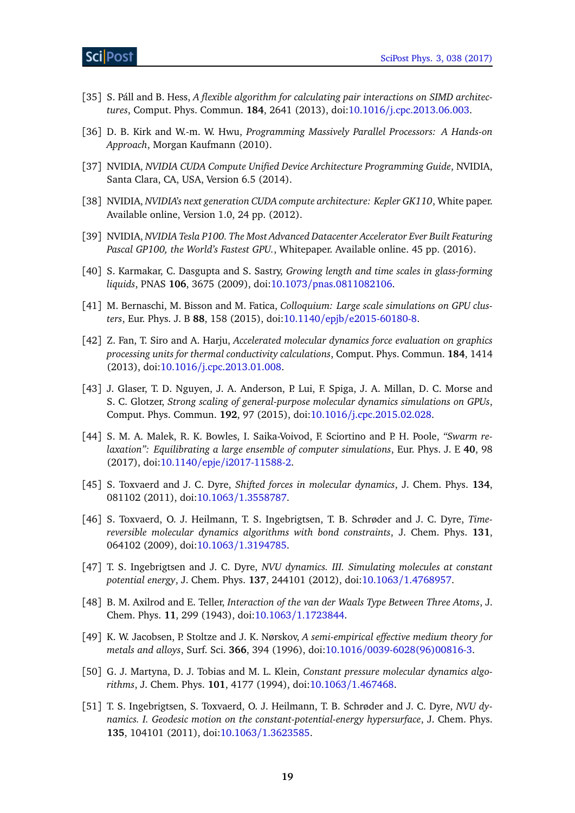- <span id="page-18-0"></span>[35] S. Páll and B. Hess, *A flexible algorithm for calculating pair interactions on SIMD architectures*, Comput. Phys. Commun. **184**, 2641 (2013), doi:10.1016/[j.cpc.2013.06.003.](http://dx.doi.org/10.1016/j.cpc.2013.06.003)
- <span id="page-18-1"></span>[36] D. B. Kirk and W.-m. W. Hwu, *Programming Massively Parallel Processors: A Hands-on Approach*, Morgan Kaufmann (2010).
- <span id="page-18-2"></span>[37] NVIDIA, *NVIDIA CUDA Compute Unified Device Architecture Programming Guide*, NVIDIA, Santa Clara, CA, USA, Version 6.5 (2014).
- <span id="page-18-3"></span>[38] NVIDIA, *NVIDIA's next generation CUDA compute architecture: Kepler GK110*, White paper. Available online, Version 1.0, 24 pp. (2012).
- <span id="page-18-4"></span>[39] NVIDIA, *NVIDIA Tesla P100. The Most Advanced Datacenter Accelerator Ever Built Featuring Pascal GP100, the World's Fastest GPU.*, Whitepaper. Available online. 45 pp. (2016).
- <span id="page-18-5"></span>[40] S. Karmakar, C. Dasgupta and S. Sastry, *Growing length and time scales in glass-forming liquids*, PNAS **106**, 3675 (2009), doi:10.1073/[pnas.0811082106.](http://dx.doi.org/10.1073/pnas.0811082106)
- <span id="page-18-6"></span>[41] M. Bernaschi, M. Bisson and M. Fatica, *Colloquium: Large scale simulations on GPU clusters*, Eur. Phys. J. B **88**, 158 (2015), doi:10.1140/epjb/[e2015-60180-8.](http://dx.doi.org/10.1140/epjb/e2015-60180-8)
- <span id="page-18-7"></span>[42] Z. Fan, T. Siro and A. Harju, *Accelerated molecular dynamics force evaluation on graphics processing units for thermal conductivity calculations*, Comput. Phys. Commun. **184**, 1414 (2013), doi:10.1016/[j.cpc.2013.01.008.](http://dx.doi.org/10.1016/j.cpc.2013.01.008)
- <span id="page-18-8"></span>[43] J. Glaser, T. D. Nguyen, J. A. Anderson, P. Lui, F. Spiga, J. A. Millan, D. C. Morse and S. C. Glotzer, *Strong scaling of general-purpose molecular dynamics simulations on GPUs*, Comput. Phys. Commun. **192**, 97 (2015), doi:10.1016/[j.cpc.2015.02.028.](http://dx.doi.org/10.1016/j.cpc.2015.02.028)
- <span id="page-18-9"></span>[44] S. M. A. Malek, R. K. Bowles, I. Saika-Voivod, F. Sciortino and P. H. Poole, *"Swarm relaxation": Equilibrating a large ensemble of computer simulations*, Eur. Phys. J. E **40**, 98 (2017), doi:10.1140/epje/[i2017-11588-2.](http://dx.doi.org/10.1140/epje/i2017-11588-2)
- <span id="page-18-10"></span>[45] S. Toxvaerd and J. C. Dyre, *Shifted forces in molecular dynamics*, J. Chem. Phys. **134**, 081102 (2011), doi:10.1063/[1.3558787.](http://dx.doi.org/10.1063/1.3558787)
- <span id="page-18-11"></span>[46] S. Toxvaerd, O. J. Heilmann, T. S. Ingebrigtsen, T. B. Schrøder and J. C. Dyre, *Timereversible molecular dynamics algorithms with bond constraints*, J. Chem. Phys. **131**, 064102 (2009), doi:10.1063/[1.3194785.](http://dx.doi.org/10.1063/1.3194785)
- <span id="page-18-12"></span>[47] T. S. Ingebrigtsen and J. C. Dyre, *NVU dynamics. III. Simulating molecules at constant potential energy*, J. Chem. Phys. **137**, 244101 (2012), doi:10.1063/[1.4768957.](http://dx.doi.org/10.1063/1.4768957)
- <span id="page-18-13"></span>[48] B. M. Axilrod and E. Teller, *Interaction of the van der Waals Type Between Three Atoms*, J. Chem. Phys. **11**, 299 (1943), doi:10.1063/[1.1723844.](http://dx.doi.org/10.1063/1.1723844)
- <span id="page-18-14"></span>[49] K. W. Jacobsen, P. Stoltze and J. K. Nørskov, *A semi-empirical effective medium theory for metals and alloys*, Surf. Sci. **366**, 394 (1996), doi:10.1016/[0039-6028\(96\)00816-3.](http://dx.doi.org/10.1016/0039-6028(96)00816-3)
- <span id="page-18-15"></span>[50] G. J. Martyna, D. J. Tobias and M. L. Klein, *Constant pressure molecular dynamics algorithms*, J. Chem. Phys. **101**, 4177 (1994), doi:10.1063/[1.467468.](http://dx.doi.org/10.1063/1.467468)
- <span id="page-18-16"></span>[51] T. S. Ingebrigtsen, S. Toxvaerd, O. J. Heilmann, T. B. Schrøder and J. C. Dyre, *NVU dynamics. I. Geodesic motion on the constant-potential-energy hypersurface*, J. Chem. Phys. **135**, 104101 (2011), doi:10.1063/[1.3623585.](http://dx.doi.org/10.1063/1.3623585)